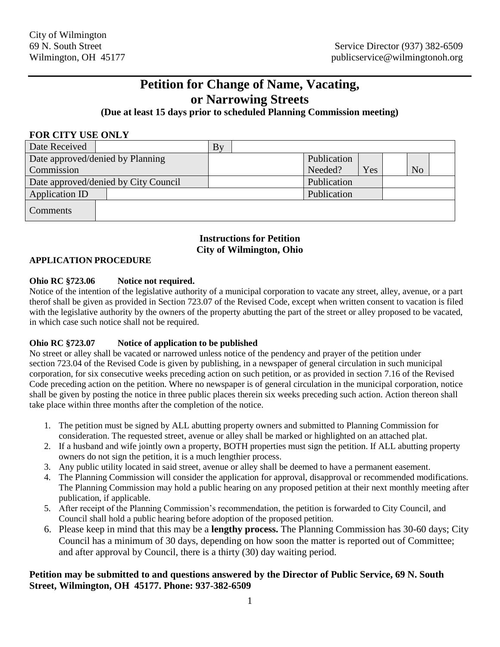# **Petition for Change of Name, Vacating, or Narrowing Streets**

### **(Due at least 15 days prior to scheduled Planning Commission meeting)**

#### **FOR CITY USE ONLY**

| Date Received                        |  | By |             |     |                |  |
|--------------------------------------|--|----|-------------|-----|----------------|--|
| Date approved/denied by Planning     |  |    | Publication |     |                |  |
| Commission                           |  |    | Needed?     | Yes | N <sub>o</sub> |  |
| Date approved/denied by City Council |  |    | Publication |     |                |  |
| Application ID                       |  |    | Publication |     |                |  |
| <b>Comments</b>                      |  |    |             |     |                |  |

## **Instructions for Petition City of Wilmington, Ohio**

#### **APPLICATION PROCEDURE**

#### **Ohio RC §723.06 Notice not required.**

Notice of the intention of the legislative authority of a municipal corporation to vacate any street, alley, avenue, or a part therof shall be given as provided in Section 723.07 of the Revised Code, except when written consent to vacation is filed with the legislative authority by the owners of the property abutting the part of the street or alley proposed to be vacated, in which case such notice shall not be required.

#### **Ohio RC §723.07 Notice of application to be published**

No street or alley shall be vacated or narrowed unless notice of the pendency and prayer of the petition under section 723.04 of the Revised Code is given by publishing, in a newspaper of general circulation in such municipal corporation, for six consecutive weeks preceding action on such petition, or as provided in section 7.16 of the Revised Code preceding action on the petition. Where no newspaper is of general circulation in the municipal corporation, notice shall be given by posting the notice in three public places therein six weeks preceding such action. Action thereon shall take place within three months after the completion of the notice.

- 1. The petition must be signed by ALL abutting property owners and submitted to Planning Commission for consideration. The requested street, avenue or alley shall be marked or highlighted on an attached plat.
- 2. If a husband and wife jointly own a property, BOTH properties must sign the petition. If ALL abutting property owners do not sign the petition, it is a much lengthier process.
- 3. Any public utility located in said street, avenue or alley shall be deemed to have a permanent easement.
- 4. The Planning Commission will consider the application for approval, disapproval or recommended modifications. The Planning Commission may hold a public hearing on any proposed petition at their next monthly meeting after publication, if applicable.
- 5. After receipt of the Planning Commission's recommendation, the petition is forwarded to City Council, and Council shall hold a public hearing before adoption of the proposed petition.
- 6. Please keep in mind that this may be a **lengthy process.** The Planning Commission has 30-60 days; City Council has a minimum of 30 days, depending on how soon the matter is reported out of Committee; and after approval by Council, there is a thirty (30) day waiting period.

#### **Petition may be submitted to and questions answered by the Director of Public Service, 69 N. South Street, Wilmington, OH 45177. Phone: 937-382-6509**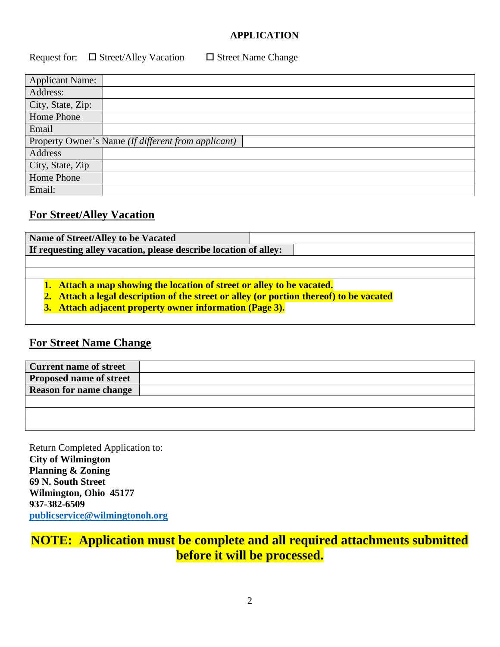### **APPLICATION**

Request for:  $\Box$  Street/Alley Vacation  $\Box$  Street Name Change

| <b>Applicant Name:</b> |                                                     |
|------------------------|-----------------------------------------------------|
| Address:               |                                                     |
| City, State, Zip:      |                                                     |
| Home Phone             |                                                     |
| Email                  |                                                     |
|                        | Property Owner's Name (If different from applicant) |
| Address                |                                                     |
| City, State, Zip       |                                                     |
| Home Phone             |                                                     |
| Email:                 |                                                     |

## **For Street/Alley Vacation**

| Name of Street/Alley to be Vacated                                                      |  |  |  |  |
|-----------------------------------------------------------------------------------------|--|--|--|--|
| If requesting alley vacation, please describe location of alley:                        |  |  |  |  |
|                                                                                         |  |  |  |  |
|                                                                                         |  |  |  |  |
| 1. Attach a map showing the location of street or alley to be vacated.                  |  |  |  |  |
| 2. Attach a legal description of the street or alley (or portion thereof) to be vacated |  |  |  |  |
| 3. Attach adjacent property owner information (Page 3).                                 |  |  |  |  |
|                                                                                         |  |  |  |  |

# **For Street Name Change**

| <b>Current name of street</b>  |  |
|--------------------------------|--|
| <b>Proposed name of street</b> |  |
| <b>Reason for name change</b>  |  |
|                                |  |
|                                |  |
|                                |  |

Return Completed Application to: **City of Wilmington Planning & Zoning 69 N. South Street Wilmington, Ohio 45177 937-382-6509 [publicservice@wilmingtonoh.org](mailto:publicservice@wilmingtonoh.org)**

# **NOTE: Application must be complete and all required attachments submitted before it will be processed.**